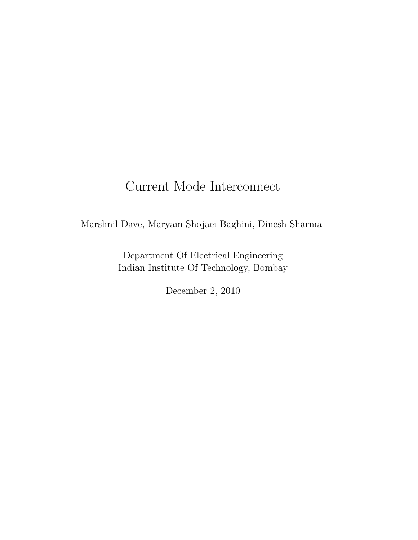# Current Mode Interconnect

Marshnil Dave, Maryam Shojaei Baghini, Dinesh Sharma

Department Of Electrical Engineering Indian Institute Of Technology, Bombay

December 2, 2010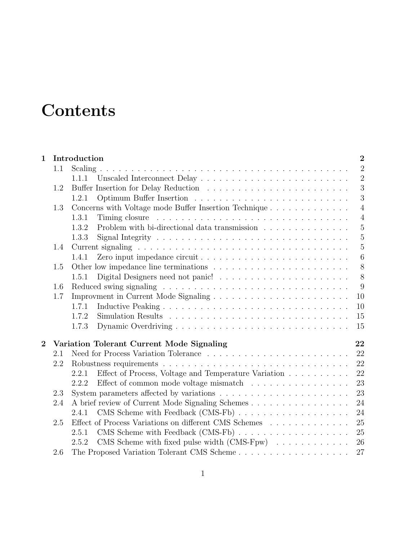# **Contents**

| $\mathbf{1}$   |     | $\overline{2}$<br>Introduction                                                                               |  |  |  |  |
|----------------|-----|--------------------------------------------------------------------------------------------------------------|--|--|--|--|
|                | 1.1 | $\overline{2}$                                                                                               |  |  |  |  |
|                |     | $\overline{2}$<br>1.1.1                                                                                      |  |  |  |  |
|                | 1.2 | 3                                                                                                            |  |  |  |  |
|                |     | 3<br>1.2.1                                                                                                   |  |  |  |  |
|                | 1.3 | Concerns with Voltage mode Buffer Insertion Technique<br>$\overline{4}$                                      |  |  |  |  |
|                |     | 1.3.1<br>$\overline{4}$                                                                                      |  |  |  |  |
|                |     | Problem with bi-directional data transmission<br>$\overline{5}$<br>1.3.2                                     |  |  |  |  |
|                |     | $\mathbf 5$<br>1.3.3                                                                                         |  |  |  |  |
|                | 1.4 | $\overline{5}$                                                                                               |  |  |  |  |
|                |     | $\boldsymbol{6}$<br>1.4.1                                                                                    |  |  |  |  |
|                | 1.5 | 8                                                                                                            |  |  |  |  |
|                |     | 8<br>1.5.1                                                                                                   |  |  |  |  |
|                | 1.6 | 9                                                                                                            |  |  |  |  |
|                | 1.7 | 10                                                                                                           |  |  |  |  |
|                |     | 10<br>1.7.1                                                                                                  |  |  |  |  |
|                |     | 1.7.2<br>15                                                                                                  |  |  |  |  |
|                |     | 1.7.3<br>15                                                                                                  |  |  |  |  |
| $\overline{2}$ |     | Variation Tolerant Current Mode Signaling<br>22                                                              |  |  |  |  |
|                | 2.1 | 22                                                                                                           |  |  |  |  |
|                | 2.2 | 22<br>Robustness requirements $\ldots \ldots \ldots \ldots \ldots \ldots \ldots \ldots \ldots \ldots \ldots$ |  |  |  |  |
|                |     | 22<br>Effect of Process, Voltage and Temperature Variation<br>2.2.1                                          |  |  |  |  |
|                |     | 23<br>Effect of common mode voltage mismatch $\ldots \ldots \ldots \ldots \ldots$<br>2.2.2                   |  |  |  |  |
|                | 2.3 | System parameters affected by variations $\ldots \ldots \ldots \ldots \ldots \ldots \ldots$<br>23            |  |  |  |  |
|                | 2.4 | A brief review of Current Mode Signaling Schemes<br>24                                                       |  |  |  |  |
|                |     | 24<br>2.4.1                                                                                                  |  |  |  |  |
|                | 2.5 | Effect of Process Variations on different CMS Schemes<br>25                                                  |  |  |  |  |
|                |     | 25<br>2.5.1                                                                                                  |  |  |  |  |
|                |     | CMS Scheme with fixed pulse width $(CMS-Fpw)$<br>26<br>2.5.2                                                 |  |  |  |  |
|                | 2.6 | 27                                                                                                           |  |  |  |  |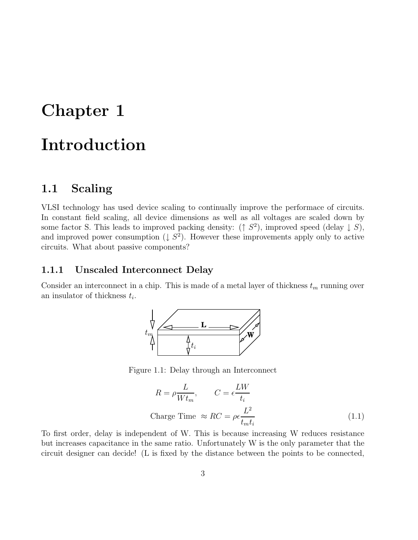# Chapter 1 Introduction

# 1.1 Scaling

VLSI technology has used device scaling to continually improve the performace of circuits. In constant field scaling, all device dimensions as well as all voltages are scaled down by some factor S. This leads to improved packing density:  $( \uparrow S^2)$ , improved speed (delay  $\downarrow S$ ), and improved power consumption  $(1 S^2)$ . However these improvements apply only to active circuits. What about passive components?

#### 1.1.1 Unscaled Interconnect Delay

Consider an interconnect in a chip. This is made of a metal layer of thickness  $t_m$  running over an insulator of thickness  $t_i$ .



Figure 1.1: Delay through an Interconnect

$$
R = \rho \frac{L}{W t_m}, \qquad C = \epsilon \frac{L W}{t_i}
$$
  
Change Time  $\approx RC = \rho \epsilon \frac{L^2}{t_m t_i}$  (1.1)

To first order, delay is independent of W. This is because increasing W reduces resistance but increases capacitance in the same ratio. Unfortunately W is the only parameter that the circuit designer can decide! (L is fixed by the distance between the points to be connected,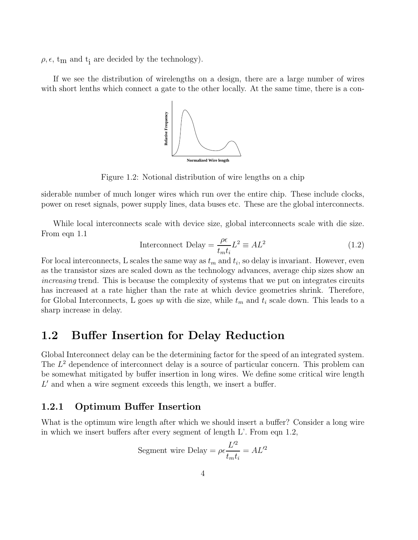$\rho, \epsilon, t_m$  and  $t_i$  are decided by the technology).

If we see the distribution of wirelengths on a design, there are a large number of wires with short lenths which connect a gate to the other locally. At the same time, there is a con-



Figure 1.2: Notional distribution of wire lengths on a chip

siderable number of much longer wires which run over the entire chip. These include clocks, power on reset signals, power supply lines, data buses etc. These are the global interconnects.

While local interconnects scale with device size, global interconnects scale with die size. From eqn 1.1

Interconnect Delay = 
$$
\frac{\rho \epsilon}{t_m t_i} L^2 \equiv A L^2
$$
 (1.2)

For local interconnects, L scales the same way as  $t_m$  and  $t_i$ , so delay is invariant. However, even as the transistor sizes are scaled down as the technology advances, average chip sizes show an increasing trend. This is because the complexity of systems that we put on integrates circuits has increased at a rate higher than the rate at which device geometries shrink. Therefore, for Global Interconnects, L goes up with die size, while  $t_m$  and  $t_i$  scale down. This leads to a sharp increase in delay.

# 1.2 Buffer Insertion for Delay Reduction

Global Interconnect delay can be the determining factor for the speed of an integrated system. The  $L^2$  dependence of interconnect delay is a source of particular concern. This problem can be somewhat mitigated by buffer insertion in long wires. We define some critical wire length  $L'$  and when a wire segment exceeds this length, we insert a buffer.

#### 1.2.1 Optimum Buffer Insertion

What is the optimum wire length after which we should insert a buffer? Consider a long wire in which we insert buffers after every segment of length L'. From eqn 1.2,

Segment wire Delay = 
$$
\rho \epsilon \frac{L^2}{t_m t_i} = A L^2
$$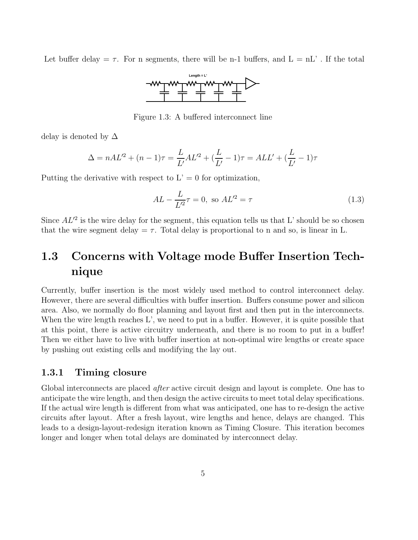Let buffer delay  $=\tau$ . For n segments, there will be n-1 buffers, and  $L = nL'$ . If the total



Figure 1.3: A buffered interconnect line

delay is denoted by  $\Delta$ 

$$
\Delta = nAL'^2 + (n-1)\tau = \frac{L}{L'}AL'^2 + (\frac{L}{L'} - 1)\tau = ALL' + (\frac{L}{L'} - 1)\tau
$$

Putting the derivative with respect to  $L' = 0$  for optimization,

$$
AL - \frac{L}{L'^2} \tau = 0, \text{ so } AL'^2 = \tau \tag{1.3}
$$

Since  $AL^2$  is the wire delay for the segment, this equation tells us that L' should be so chosen that the wire segment delay =  $\tau$ . Total delay is proportional to n and so, is linear in L.

# 1.3 Concerns with Voltage mode Buffer Insertion Technique

Currently, buffer insertion is the most widely used method to control interconnect delay. However, there are several difficulties with buffer insertion. Buffers consume power and silicon area. Also, we normally do floor planning and layout first and then put in the interconnects. When the wire length reaches  $L'$ , we need to put in a buffer. However, it is quite possible that at this point, there is active circuitry underneath, and there is no room to put in a buffer! Then we either have to live with buffer insertion at non-optimal wire lengths or create space by pushing out existing cells and modifying the lay out.

#### 1.3.1 Timing closure

Global interconnects are placed *after* active circuit design and layout is complete. One has to anticipate the wire length, and then design the active circuits to meet total delay specifications. If the actual wire length is different from what was anticipated, one has to re-design the active circuits after layout. After a fresh layout, wire lengths and hence, delays are changed. This leads to a design-layout-redesign iteration known as Timing Closure. This iteration becomes longer and longer when total delays are dominated by interconnect delay.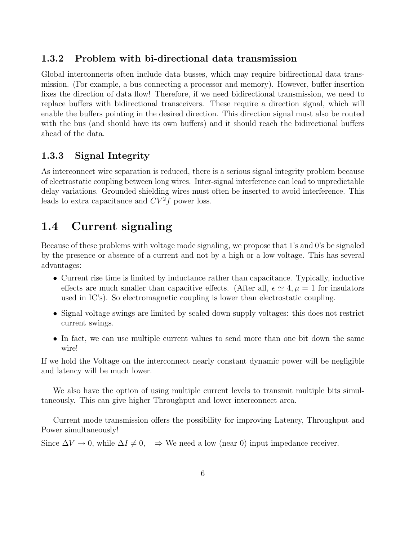#### 1.3.2 Problem with bi-directional data transmission

Global interconnects often include data busses, which may require bidirectional data transmission. (For example, a bus connecting a processor and memory). However, buffer insertion fixes the direction of data flow! Therefore, if we need bidirectional transmission, we need to replace buffers with bidirectional transceivers. These require a direction signal, which will enable the buffers pointing in the desired direction. This direction signal must also be routed with the bus (and should have its own buffers) and it should reach the bidirectional buffers ahead of the data.

#### 1.3.3 Signal Integrity

As interconnect wire separation is reduced, there is a serious signal integrity problem because of electrostatic coupling between long wires. Inter-signal interference can lead to unpredictable delay variations. Grounded shielding wires must often be inserted to avoid interference. This leads to extra capacitance and  $CV^2f$  power loss.

# 1.4 Current signaling

Because of these problems with voltage mode signaling, we propose that 1's and 0's be signaled by the presence or absence of a current and not by a high or a low voltage. This has several advantages:

- Current rise time is limited by inductance rather than capacitance. Typically, inductive effects are much smaller than capacitive effects. (After all,  $\epsilon \simeq 4, \mu = 1$  for insulators used in IC's). So electromagnetic coupling is lower than electrostatic coupling.
- Signal voltage swings are limited by scaled down supply voltages: this does not restrict current swings.
- In fact, we can use multiple current values to send more than one bit down the same wire!

If we hold the Voltage on the interconnect nearly constant dynamic power will be negligible and latency will be much lower.

We also have the option of using multiple current levels to transmit multiple bits simultaneously. This can give higher Throughput and lower interconnect area.

Current mode transmission offers the possibility for improving Latency, Throughput and Power simultaneously!

Since  $\Delta V \to 0$ , while  $\Delta I \neq 0$ ,  $\Rightarrow$  We need a low (near 0) input impedance receiver.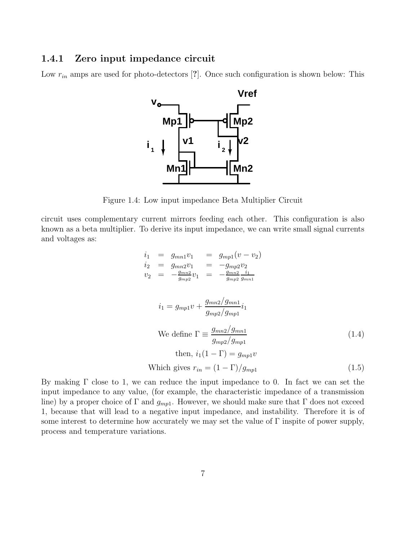#### 1.4.1 Zero input impedance circuit

Low  $r_{in}$  amps are used for photo-detectors [?]. Once such configuration is shown below: This



Figure 1.4: Low input impedance Beta Multiplier Circuit

circuit uses complementary current mirrors feeding each other. This configuration is also known as a beta multiplier. To derive its input impedance, we can write small signal currents and voltages as:

$$
i_1 = g_{mn1}v_1 = g_{mp1}(v - v_2)
$$
  
\n
$$
i_2 = g_{mn2}v_1 = -g_{mp2}v_2
$$
  
\n
$$
v_2 = -\frac{g_{mn2}}{g_{mp2}}v_1 = -\frac{g_{mn2}}{g_{mp2}}\frac{i_1}{g_{mn1}}
$$
  
\n
$$
i_1 = g_{mp1}v + \frac{g_{mn2}/g_{mn1}}{g_{mp2}/g_{mp1}}i_1
$$
  
\nWe define  $\Gamma \equiv \frac{g_{mn2}/g_{mn1}}{g_{mp2}/g_{mp1}}$   
\nthen,  $i_1(1 - \Gamma) = g_{mp1}v$   
\nWhich gives  $r_{in} = (1 - \Gamma)/g_{mp1}$  (1.5)

By making  $\Gamma$  close to 1, we can reduce the input impedance to 0. In fact we can set the input impedance to any value, (for example, the characteristic impedance of a transmission line) by a proper choice of  $\Gamma$  and  $g_{mp1}$ . However, we should make sure that  $\Gamma$  does not exceed 1, because that will lead to a negative input impedance, and instability. Therefore it is of some interest to determine how accurately we may set the value of  $\Gamma$  inspite of power supply, process and temperature variations.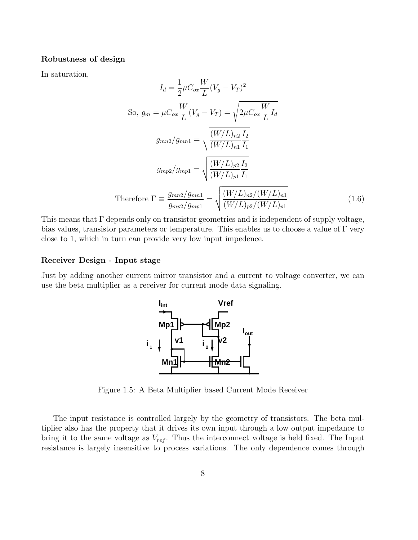#### Robustness of design

In saturation,

$$
I_{d} = \frac{1}{2}\mu C_{ox} \frac{W}{L}(V_{g} - V_{T})^{2}
$$
  
So,  $g_{m} = \mu C_{ox} \frac{W}{L}(V_{g} - V_{T}) = \sqrt{2\mu C_{ox} \frac{W}{L}} I_{d}$   

$$
g_{mn2}/g_{mn1} = \sqrt{\frac{(W/L)_{n2} I_{2}}{(W/L)_{n1} I_{1}}}
$$
  

$$
g_{mp2}/g_{mp1} = \sqrt{\frac{(W/L)_{p2} I_{2}}{(W/L)_{p1} I_{1}}}
$$
  
Therefore  $\Gamma \equiv \frac{g_{mn2}/g_{mn1}}{g_{mp2}/g_{mp1}} = \sqrt{\frac{(W/L)_{n2}/(W/L)_{n1}}{(W/L)_{p2}/(W/L)_{p1}}}$ (1.6)

This means that Γ depends only on transistor geometries and is independent of supply voltage, bias values, transistor parameters or temperature. This enables us to choose a value of  $\Gamma$  very close to 1, which in turn can provide very low input impedence.

#### Receiver Design - Input stage

Just by adding another current mirror transistor and a current to voltage converter, we can use the beta multiplier as a receiver for current mode data signaling.



Figure 1.5: A Beta Multiplier based Current Mode Receiver

The input resistance is controlled largely by the geometry of transistors. The beta multiplier also has the property that it drives its own input through a low output impedance to bring it to the same voltage as  $V_{ref}$ . Thus the interconnect voltage is held fixed. The Input resistance is largely insensitive to process variations. The only dependence comes through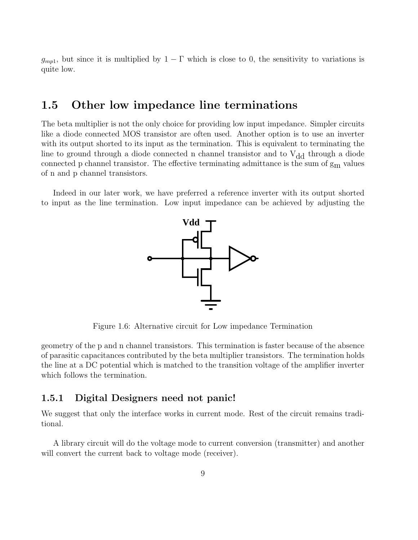$g_{mp1}$ , but since it is multiplied by  $1 - \Gamma$  which is close to 0, the sensitivity to variations is quite low.

## 1.5 Other low impedance line terminations

The beta multiplier is not the only choice for providing low input impedance. Simpler circuits like a diode connected MOS transistor are often used. Another option is to use an inverter with its output shorted to its input as the termination. This is equivalent to terminating the line to ground through a diode connected n channel transistor and to  $V_{dd}$  through a diode connected p channel transistor. The effective terminating admittance is the sum of  $g<sub>m</sub>$  values of n and p channel transistors.

Indeed in our later work, we have preferred a reference inverter with its output shorted to input as the line termination. Low input impedance can be achieved by adjusting the



Figure 1.6: Alternative circuit for Low impedance Termination

geometry of the p and n channel transistors. This termination is faster because of the absence of parasitic capacitances contributed by the beta multiplier transistors. The termination holds the line at a DC potential which is matched to the transition voltage of the amplifier inverter which follows the termination.

#### 1.5.1 Digital Designers need not panic!

We suggest that only the interface works in current mode. Rest of the circuit remains traditional.

A library circuit will do the voltage mode to current conversion (transmitter) and another will convert the current back to voltage mode (receiver).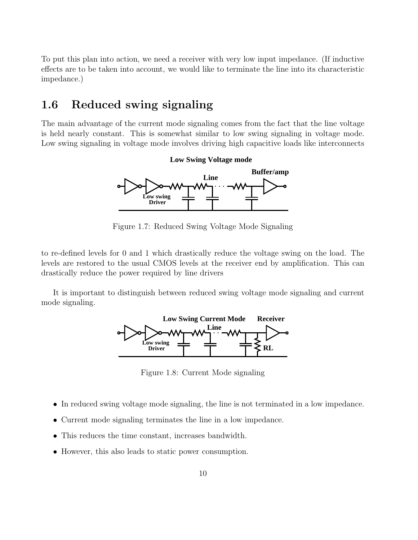To put this plan into action, we need a receiver with very low input impedance. (If inductive effects are to be taken into account, we would like to terminate the line into its characteristic impedance.)

# 1.6 Reduced swing signaling

The main advantage of the current mode signaling comes from the fact that the line voltage is held nearly constant. This is somewhat similar to low swing signaling in voltage mode. Low swing signaling in voltage mode involves driving high capacitive loads like interconnects



Figure 1.7: Reduced Swing Voltage Mode Signaling

to re-defined levels for 0 and 1 which drastically reduce the voltage swing on the load. The levels are restored to the usual CMOS levels at the receiver end by amplification. This can drastically reduce the power required by line drivers

It is important to distinguish between reduced swing voltage mode signaling and current mode signaling.



Figure 1.8: Current Mode signaling

- In reduced swing voltage mode signaling, the line is not terminated in a low impedance.
- Current mode signaling terminates the line in a low impedance.
- This reduces the time constant, increases bandwidth.
- However, this also leads to static power consumption.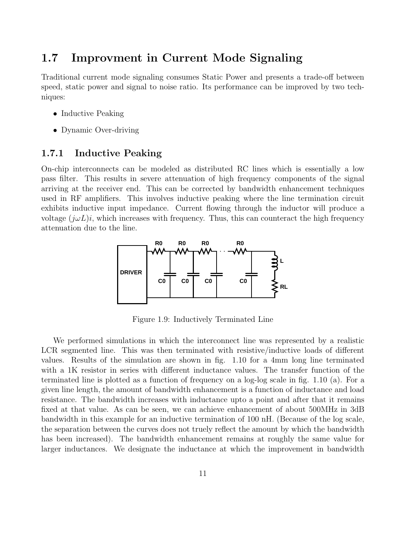# 1.7 Improvment in Current Mode Signaling

Traditional current mode signaling consumes Static Power and presents a trade-off between speed, static power and signal to noise ratio. Its performance can be improved by two techniques:

- Inductive Peaking
- Dynamic Over-driving

#### 1.7.1 Inductive Peaking

On-chip interconnects can be modeled as distributed RC lines which is essentially a low pass filter. This results in severe attenuation of high frequency components of the signal arriving at the receiver end. This can be corrected by bandwidth enhancement techniques used in RF amplifiers. This involves inductive peaking where the line termination circuit exhibits inductive input impedance. Current flowing through the inductor will produce a voltage  $(j\omega L)i$ , which increases with frequency. Thus, this can counteract the high frequency attenuation due to the line.



Figure 1.9: Inductively Terminated Line

We performed simulations in which the interconnect line was represented by a realistic LCR segmented line. This was then terminated with resistive/inductive loads of different values. Results of the simulation are shown in fig. 1.10 for a 4mm long line terminated with a 1K resistor in series with different inductance values. The transfer function of the terminated line is plotted as a function of frequency on a log-log scale in fig. 1.10 (a). For a given line length, the amount of bandwidth enhancement is a function of inductance and load resistance. The bandwidth increases with inductance upto a point and after that it remains fixed at that value. As can be seen, we can achieve enhancement of about 500MHz in 3dB bandwidth in this example for an inductive termination of 100 nH. (Because of the log scale, the separation between the curves does not truely reflect the amount by which the bandwidth has been increased). The bandwidth enhancement remains at roughly the same value for larger inductances. We designate the inductance at which the improvement in bandwidth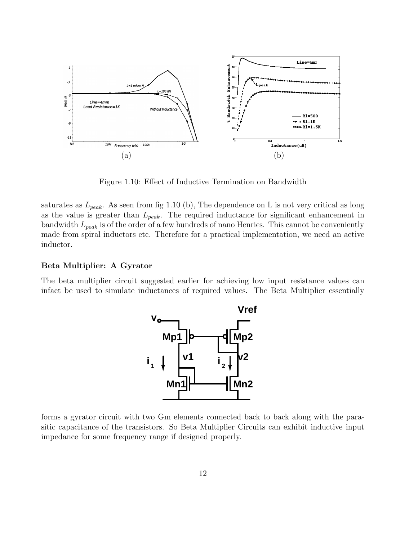

Figure 1.10: Effect of Inductive Termination on Bandwidth

saturates as  $L_{peak}$ . As seen from fig 1.10 (b), The dependence on L is not very critical as long as the value is greater than  $L_{peak}$ . The required inductance for significant enhancement in bandwidth  $L_{peak}$  is of the order of a few hundreds of nano Henries. This cannot be conveniently made from spiral inductors etc. Therefore for a practical implementation, we need an active inductor.

#### Beta Multiplier: A Gyrator

The beta multiplier circuit suggested earlier for achieving low input resistance values can infact be used to simulate inductances of required values. The Beta Multiplier essentially



forms a gyrator circuit with two Gm elements connected back to back along with the parasitic capacitance of the transistors. So Beta Multiplier Circuits can exhibit inductive input impedance for some frequency range if designed properly.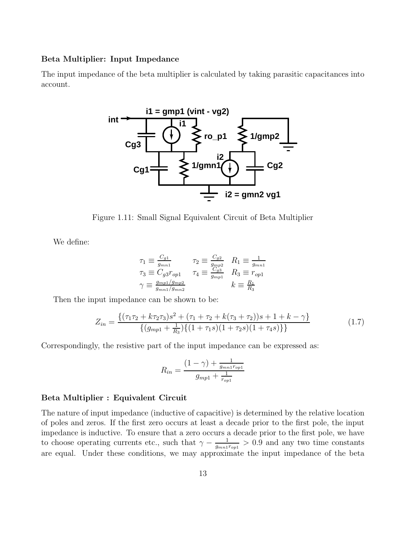#### Beta Multiplier: Input Impedance

The input impedance of the beta multiplier is calculated by taking parasitic capacitances into account.



Figure 1.11: Small Signal Equivalent Circuit of Beta Multiplier

We define:

$$
\tau_1 \equiv \frac{C_{g1}}{g_{mn1}} \qquad \tau_2 \equiv \frac{C_{g2}}{g_{mp2}} \quad R_1 \equiv \frac{1}{g_{mn1}}
$$
  

$$
\tau_3 \equiv C_{g3} r_{op1} \qquad \tau_4 \equiv \frac{C_{g3}}{g_{mp1}} \quad R_3 \equiv r_{op1}
$$
  

$$
\gamma \equiv \frac{g_{mp1}/g_{mp2}}{g_{mn1}/g_{mn2}} \qquad k \equiv \frac{R_1}{R_3}
$$

Then the input impedance can be shown to be:

$$
Z_{in} = \frac{\{(\tau_1 \tau_2 + k \tau_2 \tau_3)s^2 + (\tau_1 + \tau_2 + k(\tau_3 + \tau_2))s + 1 + k - \gamma\}}{\{(g_{mp1} + \frac{1}{R_3})\{(1 + \tau_1s)(1 + \tau_2s)(1 + \tau_4s)\}\}}
$$
(1.7)

Correspondingly, the resistive part of the input impedance can be expressed as:

$$
R_{in} = \frac{(1 - \gamma) + \frac{1}{g_{mn1}r_{op1}}}{g_{mp1} + \frac{1}{r_{op1}}}
$$

#### Beta Multiplier : Equivalent Circuit

The nature of input impedance (inductive of capacitive) is determined by the relative location of poles and zeros. If the first zero occurs at least a decade prior to the first pole, the input impedance is inductive. To ensure that a zero occurs a decade prior to the first pole, we have to choose operating currents etc., such that  $\gamma - \frac{1}{q}$  $\frac{1}{g_{mn1}r_{op1}} > 0.9$  and any two time constants are equal. Under these conditions, we may approximate the input impedance of the beta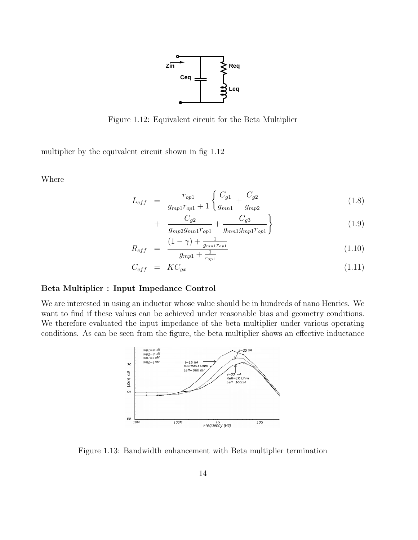

Figure 1.12: Equivalent circuit for the Beta Multiplier

multiplier by the equivalent circuit shown in fig 1.12

Where

$$
L_{eff} = \frac{r_{op1}}{g_{mp1}r_{op1} + 1} \left\{ \frac{C_{g1}}{g_{mn1}} + \frac{C_{g2}}{g_{mp2}} \right\}
$$
(1.8)

$$
+\frac{C_{g2}}{g_{mp2}g_{mn1}r_{op1}}+\frac{C_{g3}}{g_{mn1}g_{mp1}r_{op1}}\Bigg\}
$$
(1.9)

$$
R_{eff} = \frac{(1 - \gamma) + \frac{1}{g_{mn} r_{opt}}}{g_{mp1} + \frac{1}{r_{opt}}} \tag{1.10}
$$

$$
C_{eff} = KC_{gx} \tag{1.11}
$$

#### Beta Multiplier : Input Impedance Control

We are interested in using an inductor whose value should be in hundreds of nano Henries. We want to find if these values can be achieved under reasonable bias and geometry conditions. We therefore evaluated the input impedance of the beta multiplier under various operating conditions. As can be seen from the figure, the beta multiplier shows an effective inductance



Figure 1.13: Bandwidth enhancement with Beta multiplier termination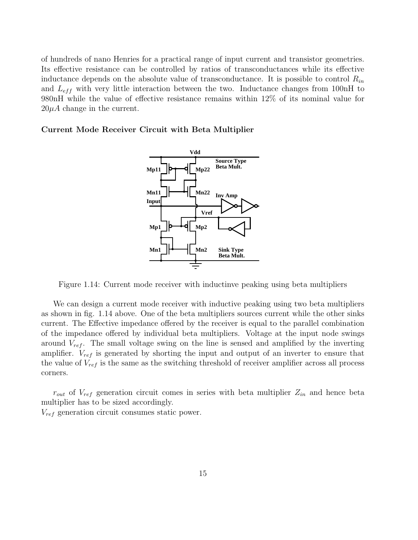of hundreds of nano Henries for a practical range of input current and transistor geometries. Its effective resistance can be controlled by ratios of transconductances while its effective inductance depends on the absolute value of transconductance. It is possible to control  $R_{in}$ and  $L_{eff}$  with very little interaction between the two. Inductance changes from 100nH to 980nH while the value of effective resistance remains within 12% of its nominal value for  $20\mu A$  change in the current.

#### Current Mode Receiver Circuit with Beta Multiplier



Figure 1.14: Current mode receiver with inductinve peaking using beta multipliers

We can design a current mode receiver with inductive peaking using two beta multipliers as shown in fig. 1.14 above. One of the beta multipliers sources current while the other sinks current. The Effective impedance offered by the receiver is equal to the parallel combination of the impedance offered by individual beta multipliers. Voltage at the input node swings around  $V_{ref}$ . The small voltage swing on the line is sensed and amplified by the inverting amplifier.  $V_{ref}$  is generated by shorting the input and output of an inverter to ensure that the value of  $V_{ref}$  is the same as the switching threshold of receiver amplifier across all process corners.

 $r_{out}$  of  $V_{ref}$  generation circuit comes in series with beta multiplier  $Z_{in}$  and hence beta multiplier has to be sized accordingly.

 $V_{ref}$  generation circuit consumes static power.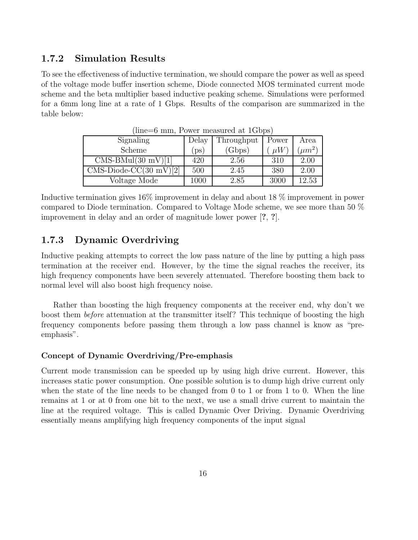#### 1.7.2 Simulation Results

To see the effectiveness of inductive termination, we should compare the power as well as speed of the voltage mode buffer insertion scheme, Diode connected MOS terminated current mode scheme and the beta multiplier based inductive peaking scheme. Simulations were performed for a 6mm long line at a rate of 1 Gbps. Results of the comparison are summarized in the table below:

| Signaling                | Delay    | Throughput | Power   | Area      |
|--------------------------|----------|------------|---------|-----------|
| Scheme                   | DS       | (Gbps)     | $\mu W$ | $\mu m^2$ |
| $CMS-BMul(30 mV)[1]$     | 420      | 2.56       | 310     | 2.00      |
| $CMS-Diode-CC(30 mV)[2]$ | 500      | 2.45       | 380     | 2.00      |
| Voltage Mode             | $1000\,$ | 2.85       | 3000    | $12.53\,$ |

(line=6 mm, Power measured at 1Gbps)

Inductive termination gives 16% improvement in delay and about 18 % improvement in power compared to Diode termination. Compared to Voltage Mode scheme, we see more than 50 % improvement in delay and an order of magnitude lower power [?, ?].

#### 1.7.3 Dynamic Overdriving

Inductive peaking attempts to correct the low pass nature of the line by putting a high pass termination at the receiver end. However, by the time the signal reaches the receiver, its high frequency components have been severely attenuated. Therefore boosting them back to normal level will also boost high frequency noise.

Rather than boosting the high frequency components at the receiver end, why don't we boost them before attenuation at the transmitter itself? This technique of boosting the high frequency components before passing them through a low pass channel is know as "preemphasis".

#### Concept of Dynamic Overdriving/Pre-emphasis

Current mode transmission can be speeded up by using high drive current. However, this increases static power consumption. One possible solution is to dump high drive current only when the state of the line needs to be changed from  $0$  to  $1$  or from  $1$  to  $0$ . When the line remains at 1 or at 0 from one bit to the next, we use a small drive current to maintain the line at the required voltage. This is called Dynamic Over Driving. Dynamic Overdriving essentially means amplifying high frequency components of the input signal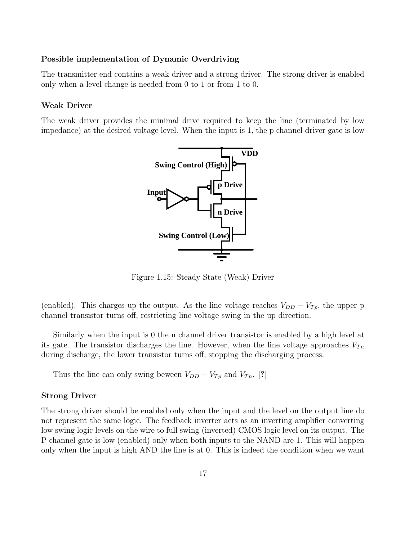#### Possible implementation of Dynamic Overdriving

The transmitter end contains a weak driver and a strong driver. The strong driver is enabled only when a level change is needed from 0 to 1 or from 1 to 0.

#### Weak Driver

The weak driver provides the minimal drive required to keep the line (terminated by low impedance) at the desired voltage level. When the input is 1, the p channel driver gate is low



Figure 1.15: Steady State (Weak) Driver

(enabled). This charges up the output. As the line voltage reaches  $V_{DD} - V_{Tp}$ , the upper p channel transistor turns off, restricting line voltage swing in the up direction.

Similarly when the input is 0 the n channel driver transistor is enabled by a high level at its gate. The transistor discharges the line. However, when the line voltage approaches  $V_{Tn}$ during discharge, the lower transistor turns off, stopping the discharging process.

Thus the line can only swing beween  $V_{DD} - V_{Tp}$  and  $V_{Tn}$ . [?]

#### Strong Driver

The strong driver should be enabled only when the input and the level on the output line do not represent the same logic. The feedback inverter acts as an inverting amplifier converting low swing logic levels on the wire to full swing (inverted) CMOS logic level on its output. The P channel gate is low (enabled) only when both inputs to the NAND are 1. This will happen only when the input is high AND the line is at 0. This is indeed the condition when we want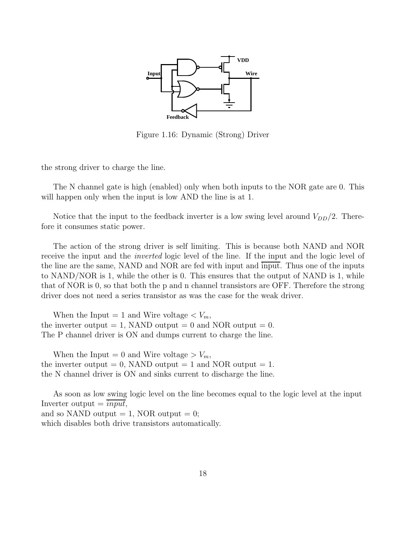

Figure 1.16: Dynamic (Strong) Driver

the strong driver to charge the line.

The N channel gate is high (enabled) only when both inputs to the NOR gate are 0. This will happen only when the input is low AND the line is at 1.

Notice that the input to the feedback inverter is a low swing level around  $V_{DD}/2$ . Therefore it consumes static power.

The action of the strong driver is self limiting. This is because both NAND and NOR receive the input and the inverted logic level of the line. If the input and the logic level of the line are the same, NAND and NOR are fed with input and input. Thus one of the inputs to NAND/NOR is 1, while the other is 0. This ensures that the output of NAND is 1, while that of NOR is 0, so that both the p and n channel transistors are OFF. Therefore the strong driver does not need a series transistor as was the case for the weak driver.

When the Input = 1 and Wire voltage  $\langle V_m, \rangle$ the inverter output  $= 1$ , NAND output  $= 0$  and NOR output  $= 0$ . The P channel driver is ON and dumps current to charge the line.

When the Input = 0 and Wire voltage >  $V_m$ , the inverter output  $= 0$ , NAND output  $= 1$  and NOR output  $= 1$ . the N channel driver is ON and sinks current to discharge the line.

As soon as low swing logic level on the line becomes equal to the logic level at the input Inverter output  $=$   $\overline{input}$ , and so NAND output  $= 1$ , NOR output  $= 0$ ; which disables both drive transistors automatically.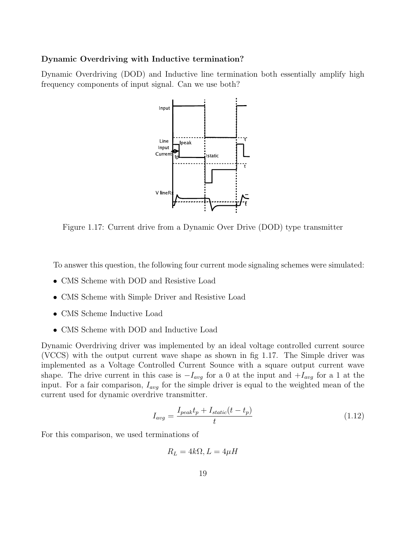#### Dynamic Overdriving with Inductive termination?

Dynamic Overdriving (DOD) and Inductive line termination both essentially amplify high frequency components of input signal. Can we use both?



Figure 1.17: Current drive from a Dynamic Over Drive (DOD) type transmitter

To answer this question, the following four current mode signaling schemes were simulated:

- CMS Scheme with DOD and Resistive Load
- CMS Scheme with Simple Driver and Resistive Load
- CMS Scheme Inductive Load
- CMS Scheme with DOD and Inductive Load

Dynamic Overdriving driver was implemented by an ideal voltage controlled current source (VCCS) with the output current wave shape as shown in fig 1.17. The Simple driver was implemented as a Voltage Controlled Current Sounce with a square output current wave shape. The drive current in this case is  $-I_{avg}$  for a 0 at the input and  $+I_{avg}$  for a 1 at the input. For a fair comparison,  $I_{avg}$  for the simple driver is equal to the weighted mean of the current used for dynamic overdrive transmitter.

$$
I_{avg} = \frac{I_{peak}t_p + I_{static}(t - t_p)}{t}
$$
\n(1.12)

For this comparison, we used terminations of

 $R_L = 4k\Omega, L = 4\mu H$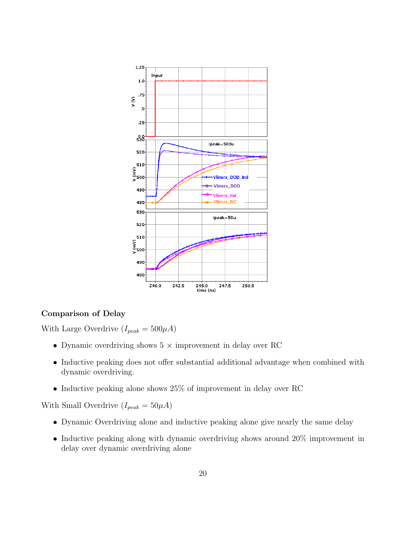

#### Comparison of Delay

With Large Overdrive  $(I_{peak} = 500 \mu A)$ 

- Dynamic overdriving shows  $5 \times$  improvement in delay over RC
- Inductive peaking does not offer substantial additional advantage when combined with dynamic overdriving.
- Inductive peaking alone shows 25% of improvement in delay over RC

With Small Overdrive  $(I_{peak} = 50 \mu A)$ 

- Dynamic Overdriving alone and inductive peaking alone give nearly the same delay
- Inductive peaking along with dynamic overdriving shows around 20% improvement in delay over dynamic overdriving alone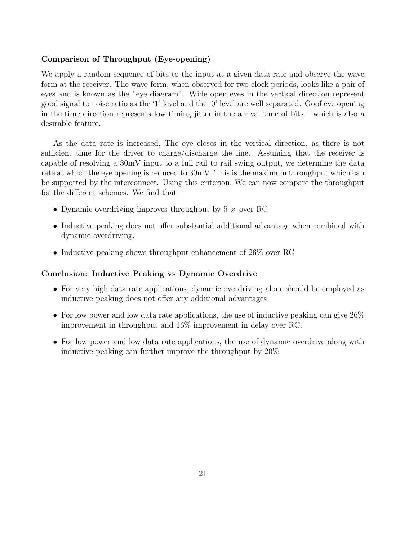#### Comparison of Throughput (Eye-opening)

We apply a random sequence of bits to the input at a given data rate and observe the wave form at the receiver. The wave form, when observed for two clock periods, looks like a pair of eyes and is known as the "eye diagram". Wide open eyes in the vertical direction represent good signal to noise ratio as the '1' level and the '0' level are well separated. Goof eye opening in the time direction represents low timing jitter in the arrival time of bits – which is also a desirable feature.

As the data rate is increased, The eye closes in the vertical direction, as there is not sufficient time for the driver to charge/discharge the line. Assuming that the receiver is capable of resolving a 30mV input to a full rail to rail swing output, we determine the data rate at which the eye opening is reduced to 30mV. This is the maximum throughput which can be supported by the interconnect. Using this criterion, We can now compare the throughput for the different schemes. We find that

- Dynamic overdriving improves throughput by  $5 \times$  over RC
- Inductive peaking does not offer substantial additional advantage when combined with dynamic overdriving.
- Inductive peaking shows throughput enhancement of 26\% over RC

#### Conclusion: Inductive Peaking vs Dynamic Overdrive

- For very high data rate applications, dynamic overdriving alone should be employed as inductive peaking does not offer any additional advantages
- For low power and low data rate applications, the use of inductive peaking can give  $26\%$ improvement in throughput and 16% improvement in delay over RC.
- For low power and low data rate applications, the use of dynamic overdrive along with inductive peaking can further improve the throughput by 20%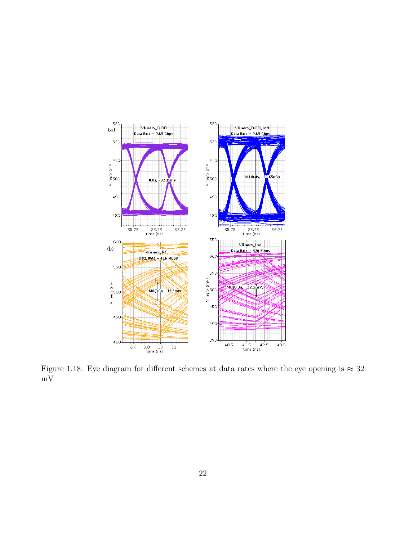

Figure 1.18: Eye diagram for different schemes at data rates where the eye opening is  $\approx 32$ mV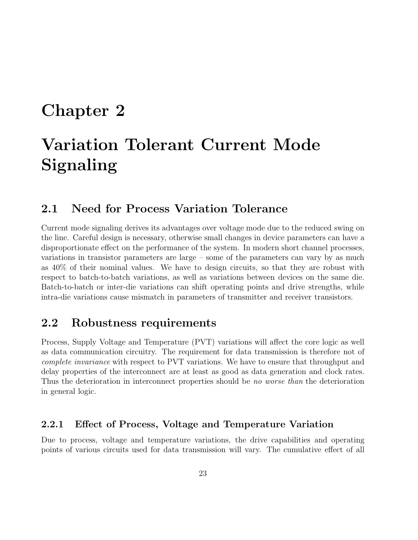# Chapter 2

# Variation Tolerant Current Mode Signaling

# 2.1 Need for Process Variation Tolerance

Current mode signaling derives its advantages over voltage mode due to the reduced swing on the line. Careful design is necessary, otherwise small changes in device parameters can have a disproportionate effect on the performance of the system. In modern short channel processes, variations in transistor parameters are large – some of the parameters can vary by as much as 40% of their nominal values. We have to design circuits, so that they are robust with respect to batch-to-batch variations, as well as variations between devices on the same die. Batch-to-batch or inter-die variations can shift operating points and drive strengths, while intra-die variations cause mismatch in parameters of transmitter and receiver transistors.

# 2.2 Robustness requirements

Process, Supply Voltage and Temperature (PVT) variations will affect the core logic as well as data communication circuitry. The requirement for data transmission is therefore not of complete invariance with respect to PVT variations. We have to ensure that throughput and delay properties of the interconnect are at least as good as data generation and clock rates. Thus the deterioration in interconnect properties should be no worse than the deterioration in general logic.

#### 2.2.1 Effect of Process, Voltage and Temperature Variation

Due to process, voltage and temperature variations, the drive capabilities and operating points of various circuits used for data transmission will vary. The cumulative effect of all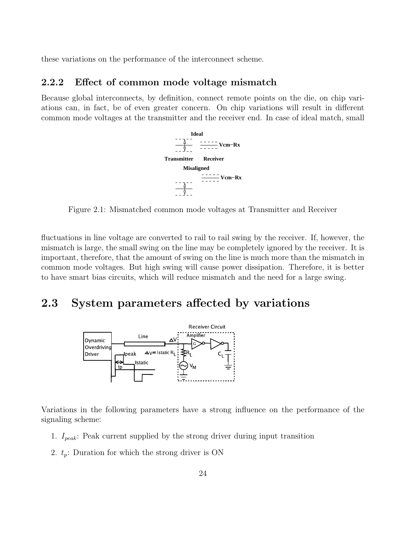these variations on the performance of the interconnect scheme.

#### 2.2.2 Effect of common mode voltage mismatch

Because global interconnects, by definition, connect remote points on the die, on chip variations can, in fact, be of even greater concern. On chip variations will result in different common mode voltages at the transmitter and the receiver end. In case of ideal match, small



Figure 2.1: Mismatched common mode voltages at Transmitter and Receiver

fluctuations in line voltage are converted to rail to rail swing by the receiver. If, however, the mismatch is large, the small swing on the line may be completely ignored by the receiver. It is important, therefore, that the amount of swing on the line is much more than the mismatch in common mode voltages. But high swing will cause power dissipation. Therefore, it is better to have smart bias circuits, which will reduce mismatch and the need for a large swing.

## 2.3 System parameters affected by variations



Variations in the following parameters have a strong influence on the performance of the signaling scheme:

- 1.  $I_{peak}$ : Peak current supplied by the strong driver during input transition
- 2.  $t_p$ : Duration for which the strong driver is ON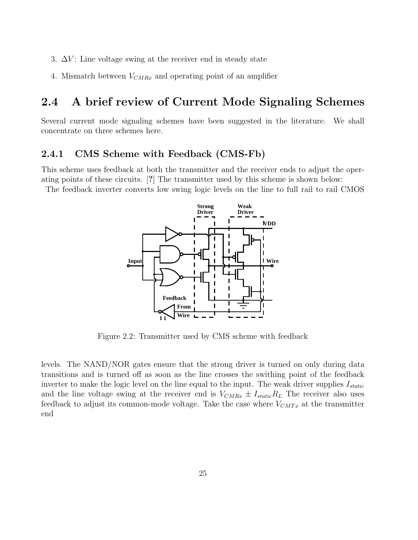- 3.  $\Delta V$ : Line voltage swing at the receiver end in steady state
- 4. Mismatch between  $V_{CMRx}$  and operating point of an amplifier

# 2.4 A brief review of Current Mode Signaling Schemes

Several current mode signaling schemes have been suggested in the literature. We shall concentrate on three schemes here.

#### 2.4.1 CMS Scheme with Feedback (CMS-Fb)

This scheme uses feedback at both the transmitter and the receiver ends to adjust the operating points of these circuits. [?] The transmitter used by this scheme is shown below: The feedback inverter converts low swing logic levels on the line to full rail to rail CMOS



Figure 2.2: Transmitter used by CMS scheme with feedback

levels. The NAND/NOR gates ensure that the strong driver is turned on only during data transitions and is turned off as soon as the line crosses the swithing point of the feedback inverter to make the logic level on the line equal to the input. The weak driver supplies  $I_{static}$ and the line voltage swing at the receiver end is  $V_{CMRx} \pm I_{static}R_L$  The receiver also uses feedback to adjust its common-mode voltage. Take the case where  $V_{CMTx}$  at the transmitter end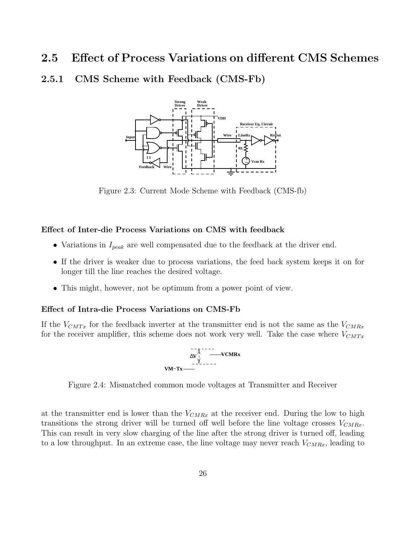### 2.5 Effect of Process Variations on different CMS Schemes

2.5.1 CMS Scheme with Feedback (CMS-Fb)



Figure 2.3: Current Mode Scheme with Feedback (CMS-fb)

#### Effect of Inter-die Process Variations on CMS with feedback

- Variations in  $I_{peak}$  are well compensated due to the feedback at the driver end.
- If the driver is weaker due to process variations, the feed back system keeps it on for longer till the line reaches the desired voltage.
- This might, however, not be optimum from a power point of view.

#### Effect of Intra-die Process Variations on CMS-Fb

If the  $V_{CMTx}$  for the feedback inverter at the transmitter end is not the same as the  $V_{CMRx}$ for the receiver amplifier, this scheme does not work very well. Take the case where  $V_{CMTx}$ 



Figure 2.4: Mismatched common mode voltages at Transmitter and Receiver

at the transmitter end is lower than the  $V_{CMRx}$  at the receiver end. During the low to high transitions the strong driver will be turned off well before the line voltage crosses  $V_{CMRx}$ . This can result in very slow charging of the line after the strong driver is turned off, leading to a low throughput. In an extreme case, the line voltage may never reach  $V_{CMRx}$ , leading to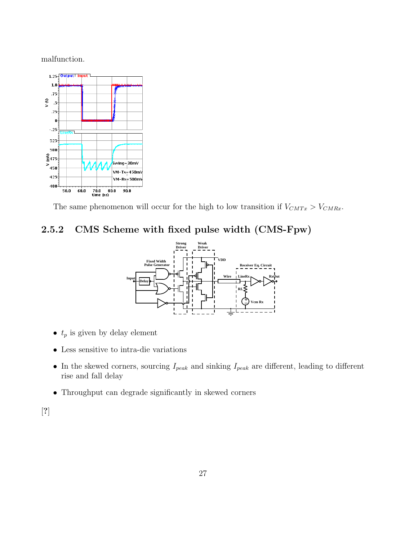malfunction.



The same phenomenon will occur for the high to low transition if  $V_{CMTx} > V_{CMRx}$ .

# 2.5.2 CMS Scheme with fixed pulse width (CMS-Fpw)



- $t_p$  is given by delay element
- Less sensitive to intra-die variations
- In the skewed corners, sourcing  $I_{peak}$  and sinking  $I_{peak}$  are different, leading to different rise and fall delay
- Throughput can degrade significantly in skewed corners

[?]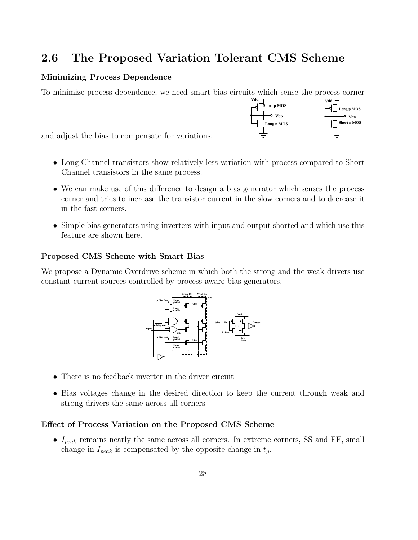# 2.6 The Proposed Variation Tolerant CMS Scheme

#### Minimizing Process Dependence

To minimize process dependence, we need smart bias circuits which sense the process corner



and adjust the bias to compensate for variations.

- Long Channel transistors show relatively less variation with process compared to Short Channel transistors in the same process.
- We can make use of this difference to design a bias generator which senses the process corner and tries to increase the transistor current in the slow corners and to decrease it in the fast corners.
- Simple bias generators using inverters with input and output shorted and which use this feature are shown here.

#### Proposed CMS Scheme with Smart Bias

We propose a Dynamic Overdrive scheme in which both the strong and the weak drivers use constant current sources controlled by process aware bias generators.



- There is no feedback inverter in the driver circuit
- Bias voltages change in the desired direction to keep the current through weak and strong drivers the same across all corners

#### Effect of Process Variation on the Proposed CMS Scheme

•  $I_{peak}$  remains nearly the same across all corners. In extreme corners, SS and FF, small change in  $I_{peak}$  is compensated by the opposite change in  $t_p$ .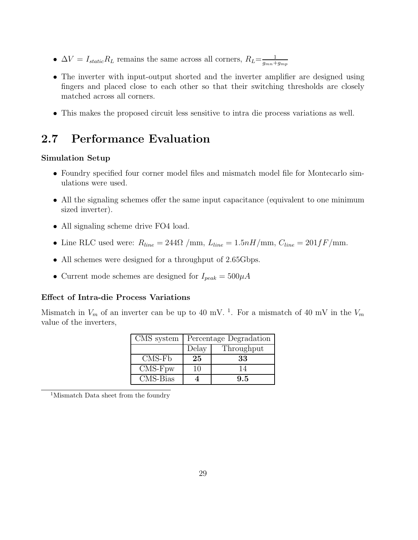- $\Delta V = I_{static} R_L$  remains the same across all corners,  $R_L = \frac{1}{q_{mn} + 1}$  $g_{mn}+g_{mp}$
- The inverter with input-output shorted and the inverter amplifier are designed using fingers and placed close to each other so that their switching thresholds are closely matched across all corners.
- This makes the proposed circuit less sensitive to intra die process variations as well.

# 2.7 Performance Evaluation

#### Simulation Setup

- Foundry specified four corner model files and mismatch model file for Montecarlo simulations were used.
- All the signaling schemes offer the same input capacitance (equivalent to one minimum sized inverter).
- All signaling scheme drive FO4 load.
- Line RLC used were:  $R_{line} = 244\Omega / \text{mm}$ ,  $L_{line} = 1.5nH/\text{mm}$ ,  $C_{line} = 201fF/\text{mm}$ .
- All schemes were designed for a throughput of 2.65Gbps.
- Current mode schemes are designed for  $I_{peak} = 500 \mu A$

#### Effect of Intra-die Process Variations

Mismatch in  $V_m$  of an inverter can be up to 40 mV.<sup>1</sup>. For a mismatch of 40 mV in the  $V_m$ value of the inverters,

| CMS system | Percentage Degradation |            |  |  |
|------------|------------------------|------------|--|--|
|            | Delay                  | Throughput |  |  |
| $CMS-Fb$   | 25                     | 33         |  |  |
| $CMS-Fpw$  | 10                     | 14         |  |  |
| CMS-Bias   |                        | 9.5        |  |  |

<sup>1</sup>Mismatch Data sheet from the foundry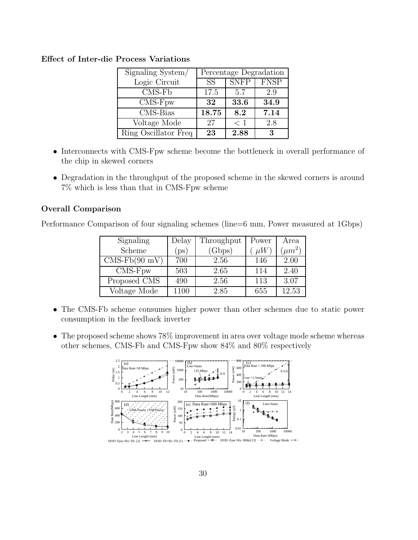| Signaling System/           | Percentage Degradation |             |             |
|-----------------------------|------------------------|-------------|-------------|
| Logic Circuit               | SS <sup>T</sup>        | <b>SNFP</b> | <b>FNSP</b> |
| $CMS-Fb$                    | 17.5                   | 5.7         | 2.9         |
| $\overline{\text{CMS-Fpw}}$ | 32                     | 33.6        | 34.9        |
| CMS-Bias                    | 18.75                  | 8.2         | 7.14        |
| Voltage Mode                | 27                     | $<$ 1       | 2.8         |
| Ring Oscillator Freq        | 23                     | 2.88        | З           |

#### Effect of Inter-die Process Variations

- Interconnects with CMS-Fpw scheme become the bottleneck in overall performance of the chip in skewed corners
- Degradation in the throughput of the proposed scheme in the skewed corners is around 7% which is less than that in CMS-Fpw scheme

#### Overall Comparison

Performance Comparison of four signaling schemes (line=6 mm, Power measured at 1Gbps)

| Signaling                   | Delay         | Throughput | Power   | Area        |
|-----------------------------|---------------|------------|---------|-------------|
| Scheme                      | $_{\rm ps}$ ) | (Gbps)     | $\mu W$ | $(\mu m^2)$ |
| $CMS-Fb(90 mV)$             | 700           | 2.56       | 146     | 2.00        |
| $\overline{\text{CMS-Fpw}}$ | 503           | 2.65       | 114     | 2.40        |
| Proposed CMS                | 490           | 2.56       | 113     | 3.07        |
| Voltage Mode                | 1100          | 2.85       | 655     | 12.53       |

- The CMS-Fb scheme consumes higher power than other schemes due to static power consumption in the feedback inverter
- The proposed scheme shows 78% improvement in area over voltage mode scheme whereas other schemes, CMS-Fb and CMS-Fpw show 84% and 80% respectively

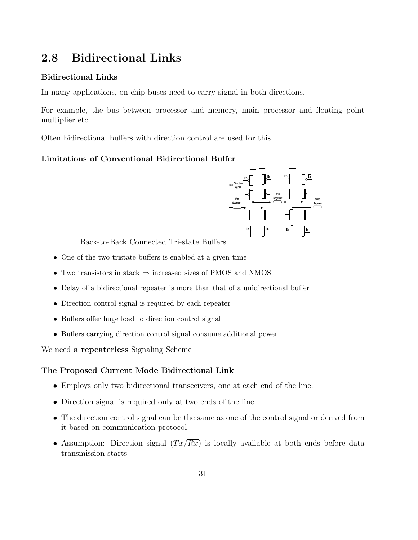# 2.8 Bidirectional Links

#### Bidirectional Links

In many applications, on-chip buses need to carry signal in both directions.

For example, the bus between processor and memory, main processor and floating point multiplier etc.

Often bidirectional buffers with direction control are used for this.

#### Limitations of Conventional Bidirectional Buffer



Back-to-Back Connected Tri-state Buffers

- One of the two tristate buffers is enabled at a given time
- Two transistors in stack  $\Rightarrow$  increased sizes of PMOS and NMOS
- Delay of a bidirectional repeater is more than that of a unidirectional buffer
- Direction control signal is required by each repeater
- Buffers offer huge load to direction control signal
- Buffers carrying direction control signal consume additional power

We need a repeaterless Signaling Scheme

#### The Proposed Current Mode Bidirectional Link

- Employs only two bidirectional transceivers, one at each end of the line.
- Direction signal is required only at two ends of the line
- The direction control signal can be the same as one of the control signal or derived from it based on communication protocol
- Assumption: Direction signal  $(T_x/R_x)$  is locally available at both ends before data transmission starts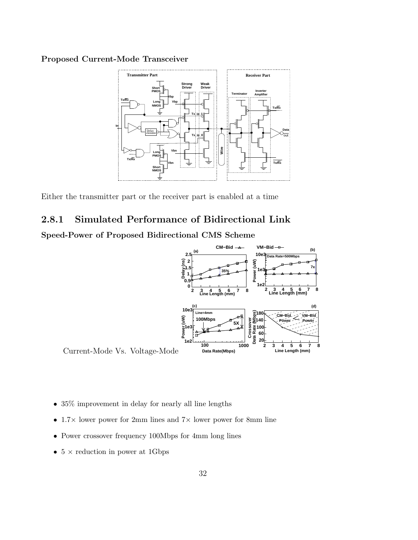#### Proposed Current-Mode Transceiver



Either the transmitter part or the receiver part is enabled at a time

# 2.8.1 Simulated Performance of Bidirectional Link

Speed-Power of Proposed Bidirectional CMS Scheme



- 35% improvement in delay for nearly all line lengths
- 1.7 $\times$  lower power for 2mm lines and 7 $\times$  lower power for 8mm line
- Power crossover frequency 100Mbps for 4mm long lines
- $5 \times$  reduction in power at 1Gbps